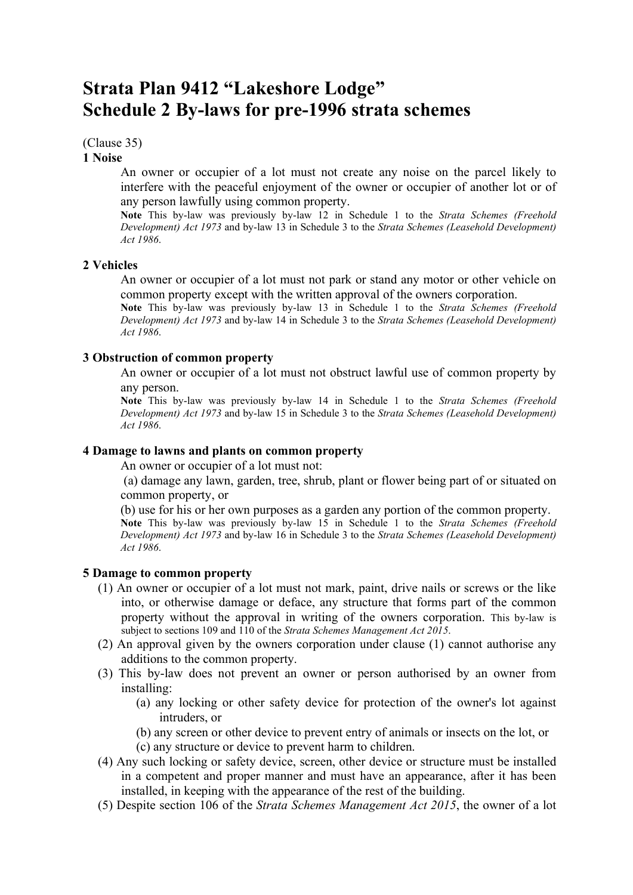# Strata Plan 9412 "Lakeshore Lodge" Schedule 2 By-laws for pre-1996 strata schemes

(Clause 35)

#### 1 Noise

An owner or occupier of a lot must not create any noise on the parcel likely to interfere with the peaceful enjoyment of the owner or occupier of another lot or of any person lawfully using common property.

Note This by-law was previously by-law 12 in Schedule 1 to the Strata Schemes (Freehold Development) Act 1973 and by-law 13 in Schedule 3 to the Strata Schemes (Leasehold Development) Act 1986.

## 2 Vehicles

An owner or occupier of a lot must not park or stand any motor or other vehicle on common property except with the written approval of the owners corporation.

Note This by-law was previously by-law 13 in Schedule 1 to the Strata Schemes (Freehold Development) Act 1973 and by-law 14 in Schedule 3 to the Strata Schemes (Leasehold Development) Act 1986.

## 3 Obstruction of common property

An owner or occupier of a lot must not obstruct lawful use of common property by any person.

Note This by-law was previously by-law 14 in Schedule 1 to the Strata Schemes (Freehold Development) Act 1973 and by-law 15 in Schedule 3 to the Strata Schemes (Leasehold Development) Act 1986.

## 4 Damage to lawns and plants on common property

An owner or occupier of a lot must not:

 (a) damage any lawn, garden, tree, shrub, plant or flower being part of or situated on common property, or

(b) use for his or her own purposes as a garden any portion of the common property. Note This by-law was previously by-law 15 in Schedule 1 to the Strata Schemes (Freehold Development) Act 1973 and by-law 16 in Schedule 3 to the Strata Schemes (Leasehold Development) Act 1986.

#### 5 Damage to common property

- (1) An owner or occupier of a lot must not mark, paint, drive nails or screws or the like into, or otherwise damage or deface, any structure that forms part of the common property without the approval in writing of the owners corporation. This by-law is subject to sections 109 and 110 of the Strata Schemes Management Act 2015.
- (2) An approval given by the owners corporation under clause (1) cannot authorise any additions to the common property.
- (3) This by-law does not prevent an owner or person authorised by an owner from installing:
	- (a) any locking or other safety device for protection of the owner's lot against intruders, or
	- (b) any screen or other device to prevent entry of animals or insects on the lot, or (c) any structure or device to prevent harm to children.
- (4) Any such locking or safety device, screen, other device or structure must be installed in a competent and proper manner and must have an appearance, after it has been installed, in keeping with the appearance of the rest of the building.
- (5) Despite section 106 of the Strata Schemes Management Act 2015, the owner of a lot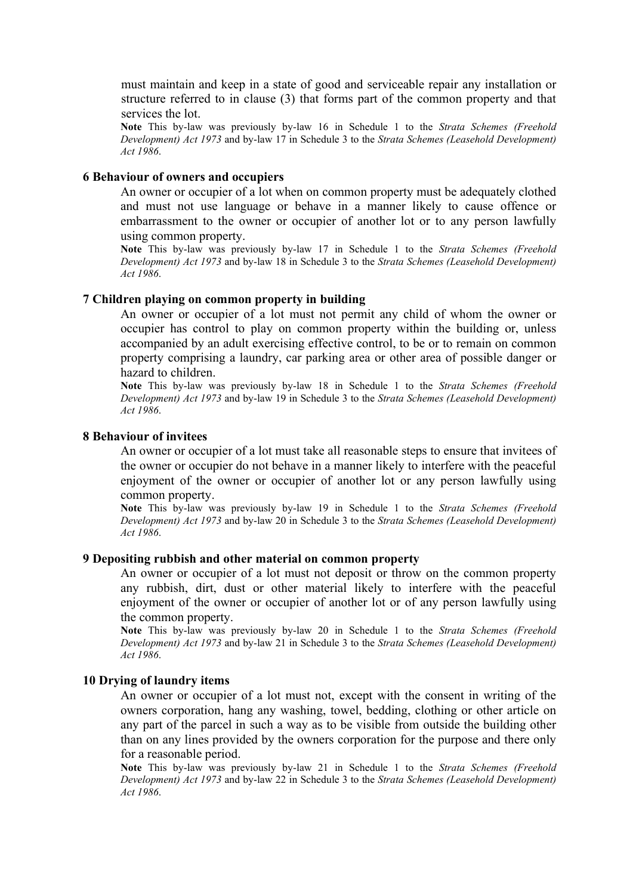must maintain and keep in a state of good and serviceable repair any installation or structure referred to in clause (3) that forms part of the common property and that services the lot.

Note This by-law was previously by-law 16 in Schedule 1 to the Strata Schemes (Freehold Development) Act 1973 and by-law 17 in Schedule 3 to the Strata Schemes (Leasehold Development) Act 1986.

#### 6 Behaviour of owners and occupiers

An owner or occupier of a lot when on common property must be adequately clothed and must not use language or behave in a manner likely to cause offence or embarrassment to the owner or occupier of another lot or to any person lawfully using common property.

Note This by-law was previously by-law 17 in Schedule 1 to the Strata Schemes (Freehold Development) Act 1973 and by-law 18 in Schedule 3 to the Strata Schemes (Leasehold Development) Act 1986.

#### 7 Children playing on common property in building

An owner or occupier of a lot must not permit any child of whom the owner or occupier has control to play on common property within the building or, unless accompanied by an adult exercising effective control, to be or to remain on common property comprising a laundry, car parking area or other area of possible danger or hazard to children.

Note This by-law was previously by-law 18 in Schedule 1 to the Strata Schemes (Freehold Development) Act 1973 and by-law 19 in Schedule 3 to the Strata Schemes (Leasehold Development) Act 1986.

## 8 Behaviour of invitees

An owner or occupier of a lot must take all reasonable steps to ensure that invitees of the owner or occupier do not behave in a manner likely to interfere with the peaceful enjoyment of the owner or occupier of another lot or any person lawfully using common property.

Note This by-law was previously by-law 19 in Schedule 1 to the Strata Schemes (Freehold Development) Act 1973 and by-law 20 in Schedule 3 to the Strata Schemes (Leasehold Development) Act 1986.

#### 9 Depositing rubbish and other material on common property

An owner or occupier of a lot must not deposit or throw on the common property any rubbish, dirt, dust or other material likely to interfere with the peaceful enjoyment of the owner or occupier of another lot or of any person lawfully using the common property.

Note This by-law was previously by-law 20 in Schedule 1 to the Strata Schemes (Freehold Development) Act 1973 and by-law 21 in Schedule 3 to the Strata Schemes (Leasehold Development) Act 1986.

#### 10 Drying of laundry items

An owner or occupier of a lot must not, except with the consent in writing of the owners corporation, hang any washing, towel, bedding, clothing or other article on any part of the parcel in such a way as to be visible from outside the building other than on any lines provided by the owners corporation for the purpose and there only for a reasonable period.

Note This by-law was previously by-law 21 in Schedule 1 to the Strata Schemes (Freehold Development) Act 1973 and by-law 22 in Schedule 3 to the Strata Schemes (Leasehold Development) Act 1986.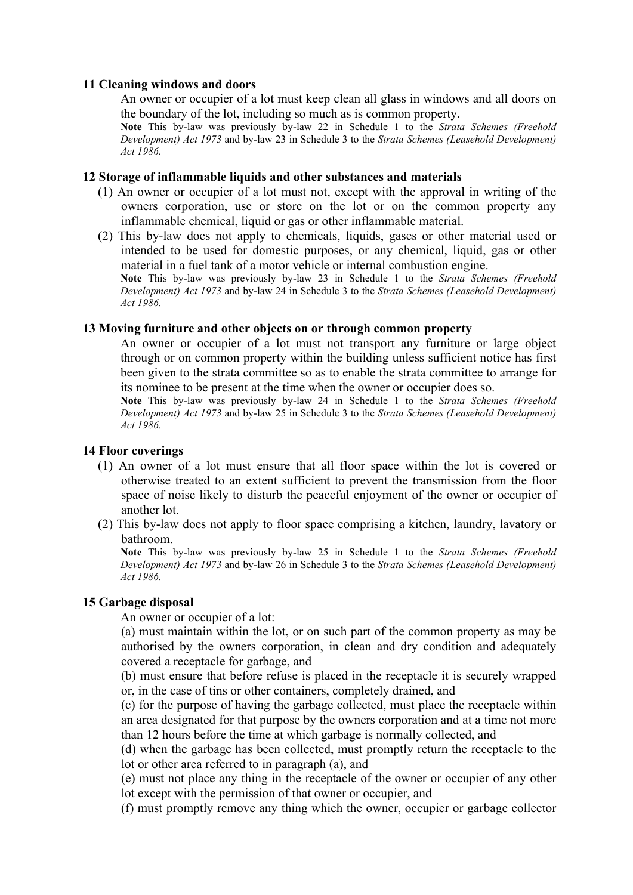## 11 Cleaning windows and doors

An owner or occupier of a lot must keep clean all glass in windows and all doors on the boundary of the lot, including so much as is common property.

Note This by-law was previously by-law 22 in Schedule 1 to the Strata Schemes (Freehold Development) Act 1973 and by-law 23 in Schedule 3 to the Strata Schemes (Leasehold Development) Act 1986.

## 12 Storage of inflammable liquids and other substances and materials

- (1) An owner or occupier of a lot must not, except with the approval in writing of the owners corporation, use or store on the lot or on the common property any inflammable chemical, liquid or gas or other inflammable material.
- (2) This by-law does not apply to chemicals, liquids, gases or other material used or intended to be used for domestic purposes, or any chemical, liquid, gas or other material in a fuel tank of a motor vehicle or internal combustion engine.

Note This by-law was previously by-law 23 in Schedule 1 to the Strata Schemes (Freehold Development) Act 1973 and by-law 24 in Schedule 3 to the Strata Schemes (Leasehold Development) Act 1986.

## 13 Moving furniture and other objects on or through common property

An owner or occupier of a lot must not transport any furniture or large object through or on common property within the building unless sufficient notice has first been given to the strata committee so as to enable the strata committee to arrange for its nominee to be present at the time when the owner or occupier does so.

Note This by-law was previously by-law 24 in Schedule 1 to the Strata Schemes (Freehold Development) Act 1973 and by-law 25 in Schedule 3 to the Strata Schemes (Leasehold Development) Act 1986.

## 14 Floor coverings

- (1) An owner of a lot must ensure that all floor space within the lot is covered or otherwise treated to an extent sufficient to prevent the transmission from the floor space of noise likely to disturb the peaceful enjoyment of the owner or occupier of another lot.
- (2) This by-law does not apply to floor space comprising a kitchen, laundry, lavatory or bathroom.

Note This by-law was previously by-law 25 in Schedule 1 to the Strata Schemes (Freehold Development) Act 1973 and by-law 26 in Schedule 3 to the Strata Schemes (Leasehold Development) Act 1986.

# 15 Garbage disposal

An owner or occupier of a lot:

(a) must maintain within the lot, or on such part of the common property as may be authorised by the owners corporation, in clean and dry condition and adequately covered a receptacle for garbage, and

(b) must ensure that before refuse is placed in the receptacle it is securely wrapped or, in the case of tins or other containers, completely drained, and

(c) for the purpose of having the garbage collected, must place the receptacle within an area designated for that purpose by the owners corporation and at a time not more than 12 hours before the time at which garbage is normally collected, and

(d) when the garbage has been collected, must promptly return the receptacle to the lot or other area referred to in paragraph (a), and

(e) must not place any thing in the receptacle of the owner or occupier of any other lot except with the permission of that owner or occupier, and

(f) must promptly remove any thing which the owner, occupier or garbage collector